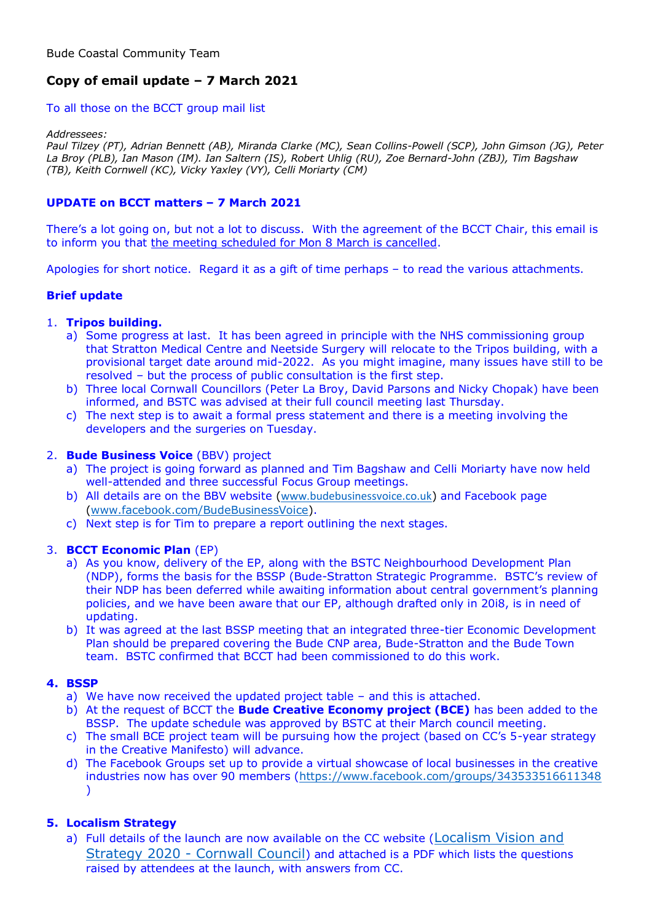# **Copy of email update – 7 March 2021**

## To all those on the BCCT group mail list

#### *Addressees:*

*Paul Tilzey (PT), Adrian Bennett (AB), Miranda Clarke (MC), Sean Collins-Powell (SCP), John Gimson (JG), Peter La Broy (PLB), Ian Mason (IM). Ian Saltern (IS), Robert Uhlig (RU), Zoe Bernard-John (ZBJ), Tim Bagshaw (TB), Keith Cornwell (KC), Vicky Yaxley (VY), Celli Moriarty (CM)*

# **UPDATE on BCCT matters – 7 March 2021**

There's a lot going on, but not a lot to discuss. With the agreement of the BCCT Chair, this email is to inform you that the meeting scheduled for Mon 8 March is cancelled.

Apologies for short notice. Regard it as a gift of time perhaps – to read the various attachments.

# **Brief update**

## 1. **Tripos building.**

- a) Some progress at last. It has been agreed in principle with the NHS commissioning group that Stratton Medical Centre and Neetside Surgery will relocate to the Tripos building, with a provisional target date around mid-2022. As you might imagine, many issues have still to be resolved – but the process of public consultation is the first step.
- b) Three local Cornwall Councillors (Peter La Broy, David Parsons and Nicky Chopak) have been informed, and BSTC was advised at their full council meeting last Thursday.
- c) The next step is to await a formal press statement and there is a meeting involving the developers and the surgeries on Tuesday.

## 2. **Bude Business Voice** (BBV) project

- a) The project is going forward as planned and Tim Bagshaw and Celli Moriarty have now held well-attended and three successful Focus Group meetings.
- b) All details are on the BBV website ([www.budebusinessvoice.co.uk](http://www.budebusinessvoice.co.uk/)) and Facebook page [\(www.facebook.com/BudeBusinessVoice\)](http://www.facebook.com/BudeBusinessVoice).
- c) Next step is for Tim to prepare a report outlining the next stages.

## 3. **BCCT Economic Plan** (EP)

- a) As you know, delivery of the EP, along with the BSTC Neighbourhood Development Plan (NDP), forms the basis for the BSSP (Bude-Stratton Strategic Programme. BSTC's review of their NDP has been deferred while awaiting information about central government's planning policies, and we have been aware that our EP, although drafted only in 20i8, is in need of updating.
- b) It was agreed at the last BSSP meeting that an integrated three-tier Economic Development Plan should be prepared covering the Bude CNP area, Bude-Stratton and the Bude Town team. BSTC confirmed that BCCT had been commissioned to do this work.

## **4. BSSP**

- a) We have now received the updated project table and this is attached.
- b) At the request of BCCT the **Bude Creative Economy project (BCE)** has been added to the BSSP. The update schedule was approved by BSTC at their March council meeting.
- c) The small BCE project team will be pursuing how the project (based on CC's 5-year strategy in the Creative Manifesto) will advance.
- d) The Facebook Groups set up to provide a virtual showcase of local businesses in the creative industries now has over 90 members [\(https://www.facebook.com/groups/343533516611348](https://www.facebook.com/groups/343533516611348) )

# **5. Localism Strategy**

a) Full details of the launch are now available on the CC website (Localism Vision and Strategy 2020 - [Cornwall Council](https://www.cornwall.gov.uk/community-and-living/communities-and-devolution/localism/localism-vision-and-strategy-2020/)) and attached is a PDF which lists the questions raised by attendees at the launch, with answers from CC.